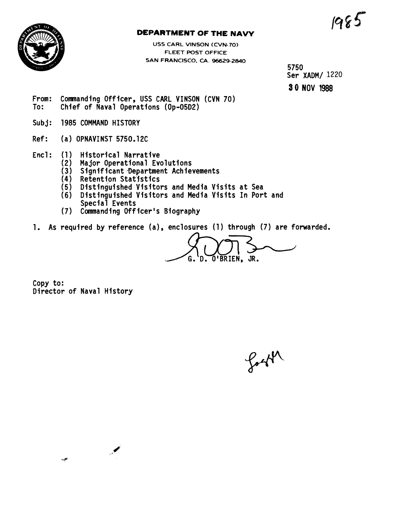$1985$ 



## **DEPARTMENT OF THE NAVY**

**USS CARL VINSON (CVN-70) FLEET POST OFFICE SAN FRANCISCO, CA. 96629-2840** 

5750 Ser XADM/ 1220 **9 0 NOV 1988** 

- From: Commanding Officer, USS CARL VINSON (CVN 70)<br>To: Chief of Naval Operations (Op-05D2) Chief of Naval Operations (Op-05D2)
- Subj: 1985 COMMAND HISTORY
- Ref: (a) OPNAVINST 5750.12C
- Encl: (1) Historical Narrative<br>(2) Major Operational Eve
	- Major Operational Evolutions
	- (3) Significant Bepartment Achievements
	- (4) Retention Statistics

 $\blacktriangleright$ 

 $\tau \in \mathbb{R}^{d \times d}$ 

- (5) Distinguished Visitors and Media Visits at Sea
- (6) Distinguished Visitors and Media Visits In Port and Special Events
- (7) Commanding Officer's Biography
- 1. As required by reference (a), enclosures (1) through (7) are forwarded.

s and Media Visits at Sea<br>s and Media Visits In Port and<br>Biography<br>enclosures (1) through (7) are<br> $G. D. O'BRIEN, JR.$ 

Copy to: Director of Naval History

forth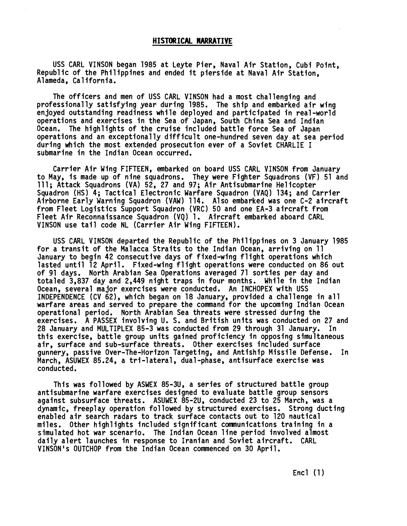### **HISTORICAL NARRATIVE**

USS CARL VINSON began 1985 at Leyte Pier, Naval Air Station, Cubi Point, Republic of the Philippines and ended it pierside at Naval Air Station, Alameda, California.

The officers and men of USS CARL VINSON had a most challenging and professionally satisfying year during 1985. The ship and embarked air wing enjoyed outstanding readiness while deployed and participated in real-world operations and exercises in the Sea of Japan, South China Sea and Indian Ocean. The highlights of the cruise included battle force Sea of Japan operations and an exceptionally difficult one-hundred seven day at sea period during which the most extended prosecution ever of a Soviet CHARLIE I submarine in the Indian Ocean occurred.

Carrier Air Wing FIFTEEN, embarked on board USS CARL VINSON from January to May, is made up of nine squadrons. They were Fighter Squadrons (VF) 51 and 111; Attack Squadrons (VA) 52, 27 and 97; Air Antisubmarine Helicopter Squadron (HS) 4; Tactical Electronic Warfare Squadron (VAQ) 134; and Carrier Airborne Early Warning Squadron (VAW) 114. Also embarked was one C-2 aircraft from Fleet Logistics Support Squadron (VRC) 50 and one EA-3 aircraft from Fleet Air Reconnaissance Squadron (VQ) 1. Aircraft embarked aboard CARL VINSON use tail code NL (Carrier Air Wing FIFTEEN).

USS CARL VINSON departed the Republic of the Phi 1 ippines on 3 January 1985 for a transit of the Malacca Straits to the Indian Ocean, arriving on 11 January to begin 42 consecutive days of fixed-wing flight operations which lasted until 12 April. Fixed-wing flight operations were conducted on 86 out of 91 days. North Arabian Sea Operations averaged 71 sorties per day and totaled 3,837 day and 2,449 night traps in four months. While in the Indian Ocean, several major exercises were conducted. An INCHOPEX with USS INDEPENDENCE (CV 62), which began on 18 January, provided a challenge in all warfare areas and served to prepare the command for the upcoming Indian Ocean operational period. North Arabian Sea threats were stressed during the exercises. A PASSEX involving U. S. and British units was conducted on 27 and 28 January and MULTIPLEX 85-3 was conducted from 29 through 31 January. In this exercise, battle group units gained proficiency in opposing simultaneous air, surface and sub-surface threats. Other exercises included surface gunnery, passive Over-The-Horizon Targeting, and Antiship Missile Defense. In March, ASUWEX 85.24, a tri-lateral, dual-phase, antisurface exercise was conducted.

This was followed by ASWEX 85-3U, a series of structured battle group antisubmarine warfare exercises designed to evaluate battle group sensors against subsurface threats. ASUWEX 85-2U, conducted 23 to 25 March, was a dynamic, freeplay operation followed by structured exercises. Strong ducting enabled air search radars to track surface contacts out to 120 nautical miles. Other highlights included significant comnunications training in a simulated hot war scenario. The Indian Ocean line period involved almost daily alert launches in response to Iranian and Soviet aircraft. CARL VINSON's OUTCHOP from the Indian Ocean commenced on 30 April.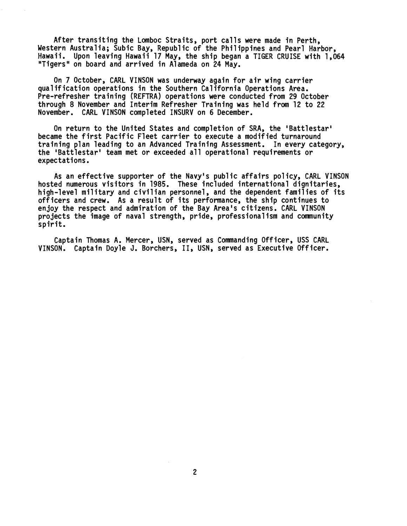After transiting the Lomboc Straits, port calls were made in Perth, Western Australia; Subic Bay, Republic of the Philippines and Pearl Harbor, Hawaii. Upon leaving Hawaii 17 May, the ship began a TIGER CRUISE with 1,064 "Tigers" on board and arrived in Alameda on 24 May.

On 7 October, CARL VINSON was underway again for air wing carrier qua1 if ication operations in the Southern Cal ifornia Operations Area. Pre-refresher training (REFTRA) operat ions were conducted from 29 October through 8 November and Interim Refresher Training was held from 12 to 22 November. CARL VINSON completed INSURV on 6 December.

On return to the United States and completion of SRA, the 'Battlestar' became the first Pacific Fleet carrier to execute a modified turnaround training plan leading to an Advanced Training Assessment. In every category, the 'Battlestar' team met or exceeded all operational requirements or expectations.

As an effective supporter of the Navy's public affairs policy, CARL VINSON hosted numerous visitors in 1985. These included international dignitaries, high-level military and civilian personnel, and the dependent families of its officers and crew. As a result of its performance, the ship continues to en joy the respect and admiration of the Bay Area's citizens. CARL VINSON projects the image of naval strength, pride, professionalism and community spirit.

Captain Thomas A. Mercer, USN, served as Commanding Officer, USS CARL VINSON. Captain Doyle **J.** Borchers, 11, USN, served as Executive Officer.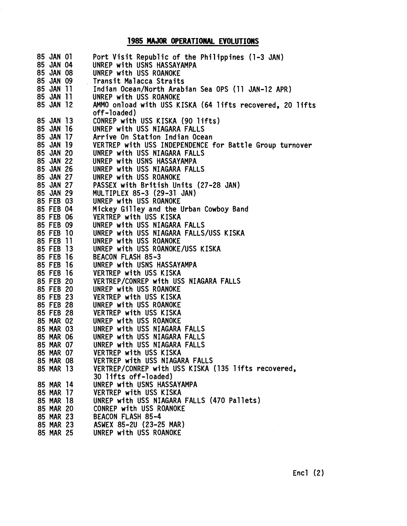## **1985 MAJOR OPERATIONAL EVOLUTIONS**

| 85 JAN 01     |           | Port Visit Republic of the Philippines (1-3 JAN)         |
|---------------|-----------|----------------------------------------------------------|
| 85 JAN 04     |           | UNREP with USNS HASSAYAMPA                               |
| 85 JAN 08     |           | UNREP with USS ROANOKE                                   |
| 85 JAN 09     |           | Transit Malacca Straits                                  |
| 85 JAN 11     |           | Indian Ocean/North Arabian Sea OPS (11 JAN-12 APR)       |
| 85 JAN 11     |           | UNREP with USS ROANOKE                                   |
| 85 JAN 12     |           | AMMO onload with USS KISKA (64 lifts recovered, 20 lifts |
|               |           | off-loaded)                                              |
| 85 JAN 13     |           | CONREP with USS KISKA (90 lifts)                         |
| 85 JAN 16     |           | UNREP with USS NIAGARA FALLS                             |
| 85 JAN        | -17       | Arrive On Station Indian Ocean                           |
| <b>85 JAN</b> | -19       | VERTREP with USS INDEPENDENCE for Battle Group turnover  |
| 85 JAN 20     |           | UNREP with USS NIAGARA FALLS                             |
| 85 JAN 22     |           | UNREP with USNS HASSAYAMPA                               |
| 85 JAN 26     |           | UNREP with USS NIAGARA FALLS                             |
| 85 JAN 27     |           | UNREP with USS ROANOKE                                   |
| 85 JAN 27     |           | PASSEX with British Units (27-28 JAN)                    |
| 85 JAN 29     |           | MULTIPLEX 85-3 (29-31 JAN)                               |
| 85 FEB 03     |           | UNREP with USS ROANOKE                                   |
| 85 FEB 04     |           | Mickey Gilley and the Urban Cowboy Band                  |
| <b>85 FEB</b> | 06        | VERTREP with USS KISKA                                   |
| <b>85 FEB</b> | 09        | UNREP with USS NIAGARA FALLS                             |
| <b>85 FEB</b> | 10        | UNREP with USS NIAGARA FALLS/USS KISKA                   |
| <b>85 FEB</b> | -11       | UNREP with USS ROANOKE                                   |
| <b>85 FEB</b> | -13       | UNREP with USS ROANOKE/USS KISKA                         |
| <b>85 FEB</b> | <b>16</b> | BEACON FLASH 85-3                                        |
| <b>85 FEB</b> | <b>16</b> | UNREP with USNS HASSAYAMPA                               |
| <b>85 FEB</b> | <b>16</b> | VERTREP with USS KISKA                                   |
| <b>85 FEB</b> | 20        | VERTREP/CONREP with USS NIAGARA FALLS                    |
| <b>85 FEB</b> | 20        | UNREP with USS ROANOKE                                   |
| <b>85 FEB</b> | 23        | VERTREP with USS KISKA                                   |
| 85 FEB 28     |           | UNREP with USS ROANOKE                                   |
| 85 FEB 28     |           | VERTREP with USS KISKA                                   |
| 85 MAR 02     |           | UNREP with USS ROANOKE                                   |
| 85 MAR 03     |           | UNREP with USS NIAGARA FALLS                             |
| 85 MAR 06     |           | UNREP with USS NIAGARA FALLS                             |
| 85 MAR 07     |           | UNREP with USS NIAGARA FALLS                             |
| 85 MAR 07     |           | VERTREP with USS KISKA                                   |
| 85 MAR 08     |           | VERTREP with USS NIAGARA FALLS                           |
| 85 MAR 13     |           | VERTREP/CONREP with USS KISKA (135 lifts recovered,      |
|               |           | 30 lifts off-loaded)                                     |
| 85 MAR 14     |           | UNREP with USNS HASSAYAMPA                               |
| 85 MAR 17     |           | VERTREP with USS KISKA                                   |
| 85 MAR 18     |           | UNREP with USS NIAGARA FALLS (470 Pallets)               |
| 85 MAR 20     |           | CONREP with USS ROANOKE                                  |
| 85 MAR 23     |           | <b>BEACON FLASH 85-4</b>                                 |
| 85 MAR 23     |           | ASWEX 85-2U (23-25 MAR)                                  |
| 85 MAR 25     |           | UNREP with USS ROANOKE                                   |
|               |           |                                                          |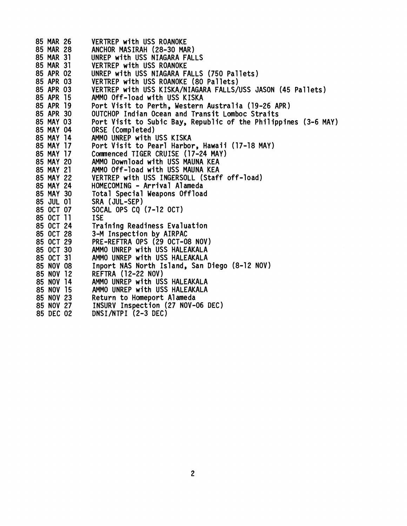| 85 MAR 26 | VERTREP with USS ROANOKE                                       |
|-----------|----------------------------------------------------------------|
| 85 MAR 28 | ANCHOR MASIRAH (28-30 MAR)                                     |
| 85 MAR 31 | UNREP with USS NIAGARA FALLS                                   |
| 85 MAR 31 | VERTREP with USS ROANOKE                                       |
| 85 APR 02 | UNREP with USS NIAGARA FALLS (750 Pallets)                     |
| 85 APR 03 | VERTREP with USS ROANOKE (80 Pallets)                          |
| 85 APR 03 | VERTREP with USS KISKA/NIAGARA FALLS/USS JASON (45 Pallets)    |
| 85 APR 15 | AMMO Off-load with USS KISKA                                   |
| 85 APR 19 | Port Visit to Perth, Western Australia (19-26 APR)             |
| 85 APR 30 | OUTCHOP Indian Ocean and Transit Lomboc Straits                |
| 85 MAY 03 | Port Visit to Subic Bay, Republic of the Philippines (3-6 MAY) |
| 85 MAY 04 | ORSE (Completed)                                               |
| 85 MAY 14 | AMMO UNREP with USS KISKA                                      |
| 85 MAY 17 | Port Visit to Pearl Harbor, Hawaii (17-18 MAY)                 |
| 85 MAY 17 | Commenced TIGER CRUISE (17-24 MAY)                             |
| 85 MAY 20 | AMMO Download with USS MAUNA KEA                               |
| 85 MAY 21 | AMMO Off-load with USS MAUNA KEA                               |
| 85 MAY 22 | VERTREP with USS INGERSOLL (Staff off-load)                    |
| 85 MAY 24 | HOMECOMING - Arrival Alameda                                   |
| 85 MAY 30 | Total Special Weapons Offload                                  |
| 85 JUL 01 | SRA (JUL-SEP)                                                  |
| 85 OCT 07 | SOCAL OPS CQ (7-12 OCT)                                        |
| 85 OCT 11 | <b>ISE</b>                                                     |
| 85 OCT 24 | Training Readiness Evaluation                                  |
| 85 OCT 28 | 3-M Inspection by AIRPAC                                       |
| 85 OCT 29 | PRE-REFTRA OPS (29 OCT-08 NOV)                                 |
| 85 OCT 30 | AMMO UNREP with USS HALEAKALA                                  |
| 85 OCT 31 | AMMO UNREP with USS HALEAKALA                                  |
| 85 NOV 08 | Inport NAS North Island, San Diego (8-12 NOV)                  |
| 85 NOV 12 | <b>REFTRA (12-22 NOV)</b>                                      |
| 85 NOV 14 | AMMO UNREP with USS HALEAKALA                                  |
| 85 NOV 15 | AMMO UNREP with USS HALEAKALA                                  |
| 85 NOV 23 | Return to Homeport Alameda                                     |
| 85 NOV 27 | INSURV Inspection (27 NOV-06 DEC)                              |
| 85 DEC 02 | DNSI/NTPI (2-3 DEC)                                            |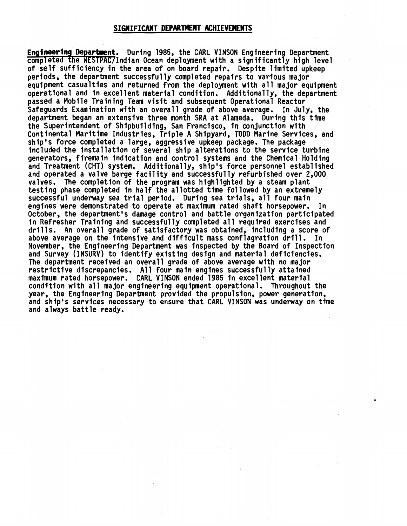## **SIGWIFICANT DEPARTMENT ACHIEVEMENTS**

**Engineering Department.** During 1985, the CARL VINSON Engineering Department completed the WESTPAC/Indian Ocean deployment with a significantly high level of self sufficiency in the area of on board repair. Despite limited upkeep periods, the department successful ly completed repairs to various major equipment casualties and returned from the deploynent with all major equipment operational and in excellent material condition. Additionally, the department passed a Mobile Training Team visit and subsequent Operational Reactor Safeguards Examination with an overall grade of above average. In July, the department began an extensive three month SRA at Alameda. During this time the Superintendent of Shipbuilding, San Francisco, in conjunction with Continental Maritime Industries, Triple A Shipyard, TODD Marine Services, and ship's force completed a large, aggressive upkeep package. The package included the installation of several ship a1 terations to the service turbine generators, firemain indication and control systems and the Chemical Holding and Treatment (CHT) system. Additionally, ship's force personnel established and operated a valve barge facility and successfully refurbished over 2,000 valves. The completion of the program was highlighted by a steam plant testing phase completed in half the allotted time followed by an extremely successful underway sea trial period. During sea trials, all four main engines were demonstrated to operate at maximum rated shaft horsepower. In October, the department's damage control and battle organization participated in Refresher Training and successfully completed all required exercises and drills. An overall grade of satisfactory was obtained, including a score of above average on the intensive and difficult mass conflagration drill. In November, the Engineering Department was inspected by the Board of Inspection and Survey (INSURV) to identify existing design and material deficiencies. The department received an overall grade of above average with no major restrictive discrepancies. All four main engines successfully attained maximum rated horsepower. CARL VINSON ended 1985 in excel lent material condition with all major engineering equipment operational. Throughout the year, the Engineering Department provided the propulsion, power generation, and ship's services necessary to ensure that CARL VINSON was underway on time and always battle ready.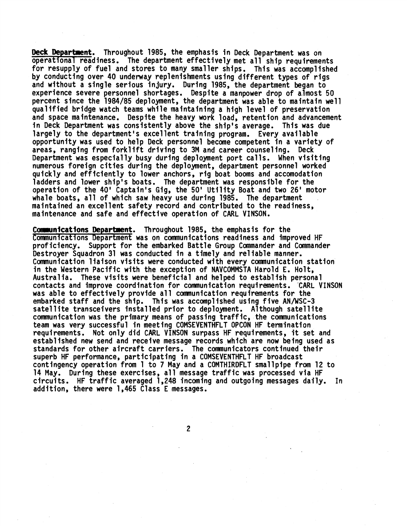**Deck Department.** Throughout 1985, the emphasis in Deck Department was on operational readiness. The department effectively met all ship requirements for resupply of fuel and stores to many smaller ships. This was accomplished by conducting over 40 underway replenishments using different types of rigs and without a single serious injury. During 1985, the department began to experience severe personnel shortages. Despite a manpower drop of a.1most 50 percent since the 1984/85 deployment, the department was able to maintain well qualified bridge watch teams while maintaining a high level of preservation and space maintenance. Despite the heavy work load, retention and advancement in Deck Department was consistently above the ship's average. This was due largely to the department's excellent training program. Every available opportunity was used to help Deck personnel become competent in a variety of areas, ranging from forklift driving to 3M and career counseling. Deck Department was especially busy during deployment port calls. When visiting numerous foreign cities during the deployment, department personnel worked quickly and efficiently to lower anchors, rig boat booms and accomodation ladders and lower ship's boats. The department was responsible for the operation of the 40' Captain's Gig, the 50' Utility Boat and two 26' motor whale boats, a11 of which saw heavy use during 1985. The department maintained an excellent safety record and contributed to the readiness, maintenance and safe and effective operation of CARL VINSON.

Communications Department. Throughout 1985, the emphasis for the Communications Department was on communications readiness and improved HF proficiency. Support for the embarked Battle Group Commander and Commander Destroyer Squadron 31 was conducted in a timely and reliable manner. Comnunication liaison visits were conducted with every communication station in the Western Pacific with the exception of NAVCOMMSTA Harold E. Halt, Australia. These visits were beneficial and helped to establish personal contacts and improve coordination for communication requirements. CARL VINSON was able to effectively provide all communication requirements for the embarked staff and the ship. This was accomplished using five AN/WSC-3 satellite transceivers installed prior to deployment. Although satellite communication was the primary means of passing traffic, the communications team was very successful in meeting COMSEVENTWFLT OPCON HF termination requirements. Not only did CARL VINSON surpass HF requirements, it set and established new send and receive message records which are now being used as standards for other aircraft carriers. The communicators continued their superb HF performance, participating in a COMSEVENTHFLT HF broadcast contingency operation from 1 to 7 May and a COMTHIRDFLT smallpipe from 12 to 14 May. During these exercises, all message traffic was processed via HF circuits. HF traffic averaged 1,248 incoming and outgoing messages daily. **In**  addition, there were 1,465 Class E messages.

 $\overline{c}$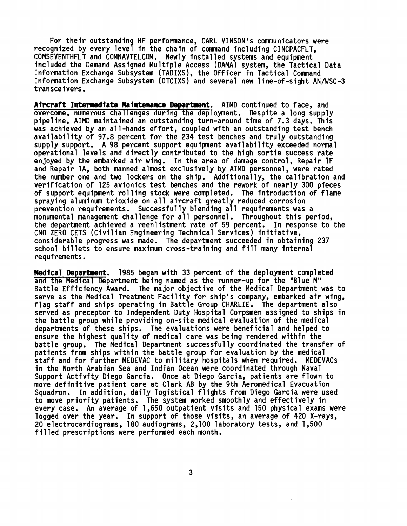For their outstanding HF performance, CARL VINSON's communicators were recognized by every level in the chain of command including CINCPACFLT, COMSEVENTHFLT and COMNAVTELCOM. Newly instal led systems and equipment included the Demand Assigned Multiple Access (DAMA) system, the Tactical Data Information Exchange Subsystem (TADIXS), the Officer in Tactical Command Information Exchange Subsystem (OTCIXS) and several new 1 ine-of -s ight AN/WSC-3 transceivers.

Aircraft Intermediate Maintenance Department. AIMD continued to face, and overcome, numerous chall enges during the deployment. Despite a long supply pipeline, AIMD maintained an outstanding turn-around time of 7.3 days. This was achieved by an all-hands effort, coupled with an outstanding test bench availability of 97.8 percent for the 234 test benches and truly outstanding supply support. A 98 percent support equipment availability exceeded normal operational levels and directly contributed to the high sortie success rate enjoyed by the embarked air wing. In the area of damage control, Repair IF and Repair 1A, both manned almost exclusively by AIMD personnel, were rated the number one and two lockers on the ship. Additionally, the calibration and verification of 125 avionics test benches and the rework of nearly 300 pieces of support equipment rolling stock were completed. The introduction of flame spraying aluminum trioxide on all aircraft greatly reduced corrosion prevention requirements. Successfully blending all requirements was a monumental management challenge for all personnel. Throughout this period, the department achieved a reenlistment rate of 59 percent. In response to the CNO ZERO CETS (Civilian Engineering Technical Services) initiative, considerable progress was made. The department succeeded in obtaining 237 school billets to ensure maximum cross-training and fill many internal requirements.

**Medical Department.** 1985 began with 33 percent of the deployment completed and the Medical Department being named as the runner-up for the "Blue M" Battle Efficiency Award. The major objective of the Medical Department was to serve as the Medical Treatment Facility for ship's company, embarked air wing, flag staff and ships operating in Battle Group CHARLIE. The department also served as preceptor to Independent Duty Hospital Corpsmen assigned to ships in the battle group while providing on-site medical evaluation of the medical departments of these ships. The evaluations were beneficial and helped to ensure the highest quality of medical care was being rendered within the battle group. The Medical Department successfully coordinated the transfer of patients from ships within the battle group for evaluation by the medical staff and for further MEDEVAC to military hospitals when required. MEDEVACs in the North Arabian Sea and Indian Ocean were coordinated through Naval Support Activity Diego Garcia. Once at Diego Garcia, patients are flown to more definitive patient care at Clark AB by the 9th Aeromedical Evacuation Squadron. In addition, daily logistical flights from Diego Garcia were used to move priority patients. The system worked smoothly and effectively in every case. An average of 1,650 outpatient visits and 150 physical exams were logged over the year. In support of those visits, an average of 420 X-rays, 20 electrocardiograms, 180 audiograms, 2,100 laboratory tests, and 1,500 filled prescriptions were performed each month.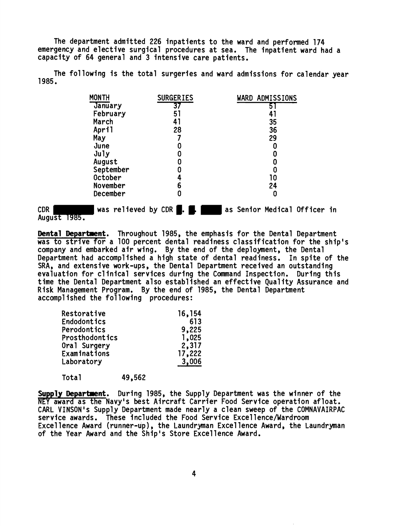The department admitted 226 inpatients to the ward and performed 174 emergency and elective surgical procedures at sea. The inpatient ward had a capacity of 64 general and 3 intensive care patients.

| 1985. |              |                  | The following is the total surgeries and ward admissions for calendar year |  |
|-------|--------------|------------------|----------------------------------------------------------------------------|--|
|       | <b>MONTH</b> | <b>SURGERIES</b> | WARD ADMISSIONS                                                            |  |
|       | January      | 37               | 5.                                                                         |  |
|       | February     | 51               | 41                                                                         |  |
|       | March        | 41               | 35                                                                         |  |
|       | April        | 28               | 36                                                                         |  |
|       | May          |                  | 29                                                                         |  |
|       | June         | 0                | 0                                                                          |  |
|       | $J$ uly      | 0                |                                                                            |  |
|       | August       |                  |                                                                            |  |
|       | September    |                  |                                                                            |  |
|       | October      |                  | 10                                                                         |  |
|       | November     | 6                | 24                                                                         |  |
|       | December     | 0                | 0                                                                          |  |

**Dental Department.** Throughout 1985, the emphasis for the Dental Department was to strive for a 100 percent dental readiness classification for the ship's company and embarked air'wing. By the end of the deployment, the Dental Department had accomplished a high state of dental readiness. In spite of the SRA, and extensive work-ups , the Dental Department received an outstanding evaluation for clinical services during the Command Inspection. During this time the Dental Department also establ ished an effective Qua1 ity Assurance and Risk Management Program. By the end of 1985, the Dental Department accomplished the following procedures:

| Restorative           | 16,154 |
|-----------------------|--------|
| <b>Endodontics</b>    | 613    |
| Perodontics           | 9,225  |
| <b>Prosthodontics</b> | 1,025  |
| Oral Surgery          | 2,317  |
| Examinations          | 17,222 |
| Laboratory            | 3,006  |
|                       |        |

Total 49,562

Supply Department. During 1985, the Supply Department was the winner of the NEY award as the Navy's best Aircraft Carrier Food Service operation afloat. CARL VINSON's Supply Department made nearly a clean sweep of the COMNAVAIRPAC service awards. These included the Food Service Excel lence/Wardroom Excellence Award (runner-up), the Laundryman Excellence Award, the Laundryman of the Year Award and the Ship's Store Excellence Award.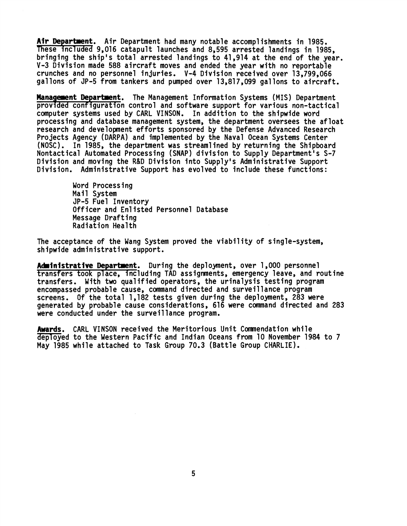Air Department. Air Department had many notable accomplishments in 1985. These included 9,016 catapult launches and 8,595 arrested landings in 1985, bringing the ship's total arrested landings to 41,914 at the end of the year. V-3 Division made 588 aircraft moves and ended the year with no reportable crunches and no personnel injuries. V-4 Division received over 13,799,066 gallons of JP-5 from tankers and pumped over 13,817,099 gallons to aircraft.

**Management Department.** The Management Information Systems (MIS) Department provided configuration control and software support for various non-tactical computer systems used by CARL VINSON. In addition to the shipwide word processing and database management system, the department oversees the afloat research and development efforts sponsored by the Defense Advanced Research Projects Agency (DARPA) and implemented by the Naval Ocean Systems Center (NOSC) . In 1985, the department was stream1 ined by returning the Shipboard Nontactical Automated Processing (SNAP) division to Supply Department's S-7 Division and moving the R&D Division into Supply's Administrative Support Division. Administrative Support has evolved to include these functions:

> Word Processing Mail System JP-5 Fuel Inventory Officer and En1 isted Personnel Database Message Drafting Radiation Health

The acceptance of the Wang System proved the viability of single-system, shipwide administrative support.

Administrative Department. During the deployment, over 1,000 personnel transfers took place, including TAD assignments, emergency leave, and routine transfers. With two qualified operators, the urinalysis testing program encompassed probable cause, command directed and surveillance program screens. Of the total 1,182 tests given during the deployment, 283 were generated by probable cause considerations, 616 were command directed and 283 were conducted under the surveillance program.

Awards. CARL VINSON received the Meritorious Unit Comnendation while deployed to the Western Pacific and Indian Oceans from 10 November 1984 to 7 May 1985 while attached to Task Group 70.3 (Battle Group CHARLIE).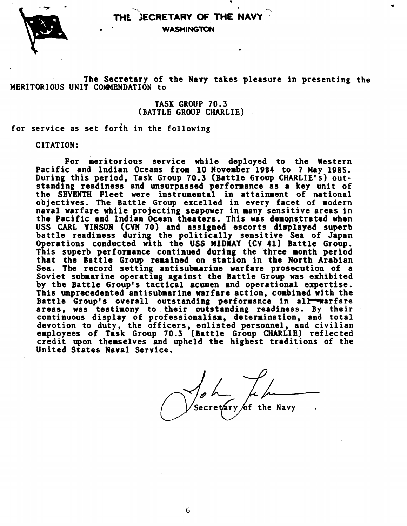

THE **JECRETARY OF THE NAVY WASHINGTON** 

**The Secretary of the Navy takes pleasure in presenting the MERITORIOUS UNIT COMMENDATION to** 

> **TASX GROUP 70.3 (BATTLE GROUP CHARLIE)**

**for service as set forth in the following** 

**CITATION:** 

**For meritorious service while deployed to the Western Pacific and Indian Oceans from 10 November 1984 to 7 May 1985. During this period, Task Group 70.3 (Battle Group CHARLIE'S) outstanding readiness and unsurpassed performance as a key unit of the SEVENTH Fleet were instrumental in attainment of national objectives. The Battle Group excelled in every facet of modern naval warfare while projecting seapower in many sensitive areas in**  the Pacific and Indian Ocean theaters. This was demonstrated when **USS CARL VINSON (CVN 70) and assigned escorts displayed superb battle readiness during the politically sensitive Sea of Japan Operations conducted with the USS MIDWAY (CV 41) Battle Group.**  This superb performance continued during the three month period that the Battle Group remained on station in the North Arabian **Sea. The record setting antisubmarine warfare prosecution of a Soviet submarine operating against the Battle Group was exhibited by the Battle Group's tactical acumen and operational expertise. This unprecedented antisubmarine warfare action, corbined with the**  Battle Group's overall outstanding performance in all<sup>emen</sup>arfare **areas, was testimony to their outstanding readiness. By their continuous display of professionalism, determination, and total devotion to duty, the officers, enlisted personnel, and civilian employees of Task Group 70.3 [Battle Group CHARLIE) reflected credit upon theasdlves and upheld the highest traditions of the United States Naval Service.** 

dVL **Secre ry of the Navy** .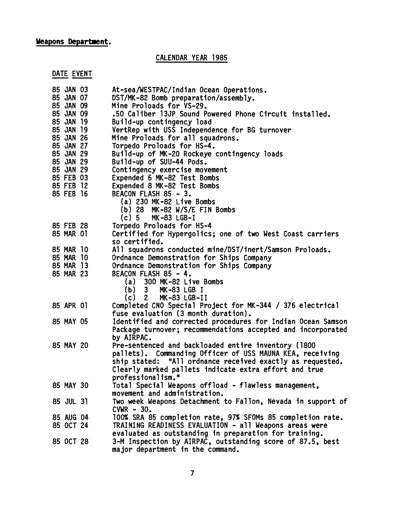# **Weapons Department.**  <mark>ons Department</mark><br>DATE EVENT<br>85 JAN 03

CALENDAR YEAR 1985

| 85 JAN 03              | At-sea/WESTPAC/Indian Ocean Operations.                                              |  |  |  |  |  |
|------------------------|--------------------------------------------------------------------------------------|--|--|--|--|--|
| 85 JAN 07              | DST/MK-82 Bomb preparation/assembly.                                                 |  |  |  |  |  |
| 85 JAN 09              | Mine Proloads for VS-29.                                                             |  |  |  |  |  |
| 85 JAN 09              | .50 Caliber 13JP Sound Powered Phone Circuit installed.                              |  |  |  |  |  |
| 85 JAN 19              | Build-up contingency load                                                            |  |  |  |  |  |
| 85 JAN 19              | VertRep with USS Independence for BG turnover                                        |  |  |  |  |  |
| 85 JAN 26              | Mine Proloads for all squadrons.                                                     |  |  |  |  |  |
| 85 JAN 27              | Torpedo Proloads for HS-4.                                                           |  |  |  |  |  |
| 85 JAN 29              | Build-up of MK-20 Rockeye contingency loads                                          |  |  |  |  |  |
| 85 JAN 29              | Build-up of SUU-44 Pods.                                                             |  |  |  |  |  |
| 85 JAN 29              | Contingency exercise movement                                                        |  |  |  |  |  |
| 85 FEB 03              | Expended 6 MK-82 Test Bombs                                                          |  |  |  |  |  |
| 85 FEB 12              | Expended 8 MK-82 Test Bombs                                                          |  |  |  |  |  |
| 85 FEB 16              | BEACON FLASH 85 - 3.                                                                 |  |  |  |  |  |
|                        | (a) 230 MK-82 Live Bombs                                                             |  |  |  |  |  |
|                        | (b) 28 $MK-82 W/S/E FIN Bonds$                                                       |  |  |  |  |  |
|                        | MK-83 LGB-I<br>$(c)$ 5                                                               |  |  |  |  |  |
| 85 FEB 28              | Torpedo Proloads for HS-4                                                            |  |  |  |  |  |
| 85 MAR 01              | Certified for Hypergolics; one of two West Coast carriers                            |  |  |  |  |  |
|                        | so certified.                                                                        |  |  |  |  |  |
| 85 MAR 10<br>85 MAR 10 | All squadrons conducted mine/DST/inert/Samson Proloads.                              |  |  |  |  |  |
| 85 MAR 13              | Ordnance Demonstration for Ships Company<br>Ordnance Demonstration for Ships Company |  |  |  |  |  |
| 85 MAR 23              | BEACON FLASH 85 - 4.                                                                 |  |  |  |  |  |
|                        | 300 MK-82 Live Bombs<br>(a)                                                          |  |  |  |  |  |
|                        | (b) 3<br>MK-83 LGB I                                                                 |  |  |  |  |  |
|                        | $(c)$ 2<br>MK-83 LGB-II                                                              |  |  |  |  |  |
| 85 APR 01              | Completed CNO Special Project for MK-344 / 376 electrical                            |  |  |  |  |  |
|                        | fuse evaluation (3 month duration).                                                  |  |  |  |  |  |
| 85 MAY 05              | Identified and corrected procedures for Indian Ocean Samson                          |  |  |  |  |  |
|                        | Package turnover; recommendations accepted and incorporated                          |  |  |  |  |  |
|                        | by AIRPAC.                                                                           |  |  |  |  |  |
| 85 MAY 20              | Pre-sentenced and backloaded entire inventory (1800                                  |  |  |  |  |  |
|                        | pallets). Commanding Officer of USS MAUNA KEA, receiving                             |  |  |  |  |  |
|                        | ship stated: "All ordnance received exactly as requested.                            |  |  |  |  |  |
|                        | Clearly marked pallets indicate extra effort and true                                |  |  |  |  |  |
|                        | professionalism."                                                                    |  |  |  |  |  |
| 85 MAY 30              | Total Special Weapons offload - flawless management,                                 |  |  |  |  |  |
|                        | movement and administration.                                                         |  |  |  |  |  |
| 85 JUL 31              | Two week Weapons Detachment to Fallon, Nevada in support of                          |  |  |  |  |  |
|                        | $CVMR - 30.$                                                                         |  |  |  |  |  |
| 85 AUG 04              | 100% SRA 85 completion rate, 97% SFOMs 85 completion rate.                           |  |  |  |  |  |
| 85 OCT 24              | TRAINING READINESS EVALUATION - all Weapons areas were                               |  |  |  |  |  |
|                        | evaluated as outstanding in preparation for training.                                |  |  |  |  |  |
| 85 OCT 28              | 3-M Inspection by AIRPAC, outstanding score of 87.5, best                            |  |  |  |  |  |
|                        | major department in the command.                                                     |  |  |  |  |  |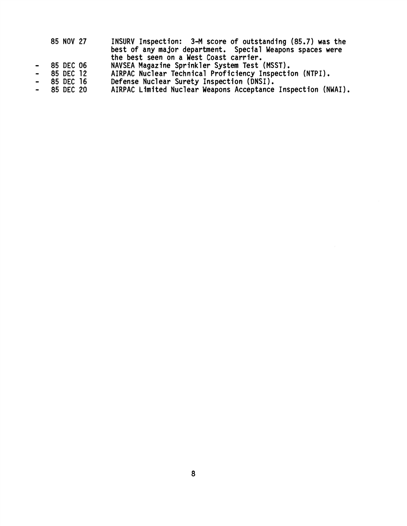| 85 NOV 27 | INSURV Inspection: 3-M score of outstanding (85.7) was the |
|-----------|------------------------------------------------------------|
|           | best of any major department. Special Weapons spaces were  |
|           | the best seen on a West Coast carrier.                     |
| 85 DEC 06 | NAVSEA Magazine Sprinkler System Test (MSST).              |
| 85 DEC 12 | AIRPAC Nuclear Technical Proficiency Inspection (NTPI).    |
| 85 DEC 16 | Defense Nuclear Surety Inspection (DNSI).                  |
|           |                                                            |

- 
- 
- 
- 85 DEC 16 Defense Nuclear Surety Inspection (DNSI).<br>- 85 DEC 20 AIRPAC Limited Nuclear Weapons Acceptance Inspection (NWAI).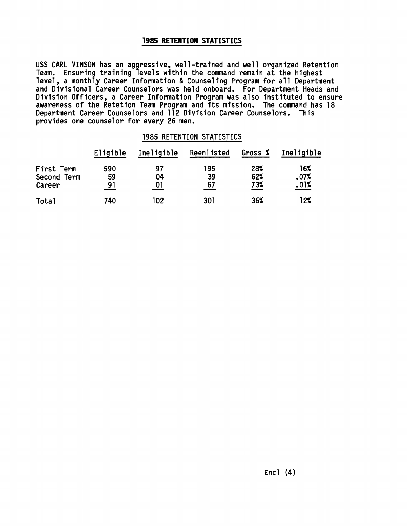## **1985 RETENTION STATISTICS**

USS CARL VINSON has an aggressive, well-trained and well organized Retention<br>Team. Ensuring training levels within the command remain at the highest level, a monthly Career Information & Counseling Program for all Department<br>and Divisional Career Counselors was held onboard. For Department Heads and Division Officers, a Career Information Program was also instituted to ensure awareness of the Retetion Team Program and its mission. The command has 18 Department Career Counselors and 112 Division Career Counselors. This provides one counselor for every 26 men.

## 1985 RETENTION STATISTICS

|                                     | Eligible        | Ineligible     | Reenlisted      | Gross %           | Ineligible          |
|-------------------------------------|-----------------|----------------|-----------------|-------------------|---------------------|
| First Term<br>Second Term<br>Career | 590<br>59<br>91 | 97<br>04<br>01 | 195<br>39<br>67 | 28%<br>62%<br>73% | 16%<br>.07%<br>.01% |
| Total                               | 740             | 102            | 301             | 36%               | 12%                 |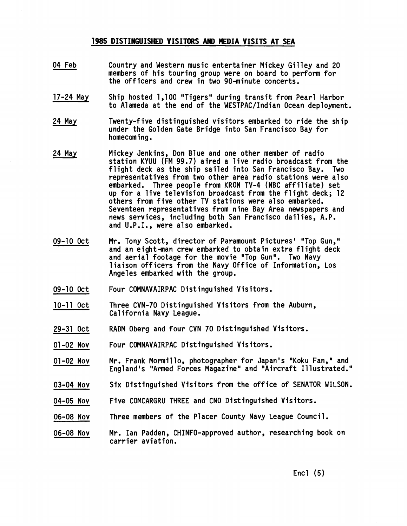## **1985 DISTINGUISHED VISITORS AND MEDIA VISITS AT SEA**

- 04 Feb Country and Western music entertainer Mickey Gilley and 20 members of his touring group were on board to perform for the officers and crew in two 90-minute concerts.
- 17-24 May Ship hosted 1,100 "Tigers" during transit from Pearl Harbor to Alameda at the end of the WESTPAC/Indian Ocean deployment.
- 24 Mav Twenty-five distinguished visitors embarked to ride the ship under the Golden Gate Bridge into San Francisco Bay for homecoming.
- 24 May Mickey Jenkins, Don Blue and one other member of radio station KYUU (FM 99.7) aired a live radio broadcast from the flight deck as the ship sailed into San Francisco Bay. Two representatives from two other area radio stations were also embarked. Three people from KRON TV-4 (NBC affiliate) set up for a live television broadcast from the flight deck; 12 others from five other TV stations were also embarked. Seventeen representatives from nine Bay Area newspapers and news services, including both San Francisco dailies, A.P. and U.P.I., were also embarked.
- Mr. Tony Scott, director of Paramount Pictures' \*Top Gun," 09-10 Oct and an eight-man crew embarked to obtain extra flight deck and aerial footage for the movie "Top Gun". Two Navy liaison officers from the Navy Office of Information, Los Angeles embarked with the group.
- 09-10 Oct Four COMNAVAIRPAC Distinguished Visitors.
- 10-11 Oct Three CVN-70 Distinguished Visitors from the Auburn, Cal ifornia Navy League.
- 29-31 Oct RADM Oberg and four CVN 70 Distinguished Visitors.
- 01-02 NOV Four COMNAVAIRPAC Distinguished Visitors.
- 01-02 Nov Mr. Frank Mormillo, photographer for Japan's "Koku Fan," and England's "Armed Forces Magazine" and "Aircraft Illustrated."
- 03-04 Nov Six Distinguished Visitors from the office of SENATOR WILSON.
- 04-05 NOV Five COMCARGRU THREE and CNO Distinguished Visitors.
- Three members of the Placer County Navy League Council. 06-08 Nov
- Mr. Ian Padden, CHINFO-approved author, researching book on 06-08 Nov carrier aviation.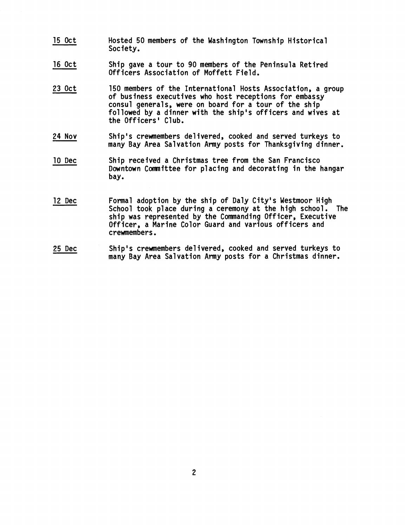- 15 Oct Hosted 50 members of the Washington Township Historical Society.
- 16 Oct Ship gave a tour to 90 members of the Peninsula Retired Officers Association of Moffett Field.
- 23 Oct 150 members of the International Hosts Association, a group of business executives who host receptions for embassy consul generals, were on board for a tour of the ship followed by a dinner with the ship's officers and wives at the Officers' Club.
- 24 Nov Ship's crewmembers del ivered, cooked and served turkeys to many Bay Area Salvation Army posts for Thanksgiving dinner.
- 10 Dec Ship received a Christmas tree from the San Francisco Downtown Comnittee for placing and decorating in the hangar bay.
- 12 Dec Formal adoption by the ship of Daly City's Westmoor High School took place during a ceremony at the high school. The ship was represented by the Commanding Officer, Executive Officer, a Marine Color Guard and various officers and crewmembers.
- 25 Dec Ship's crewmembers delivered, cooked and served turkeys to many Bay Area Salvation Army posts for a Christmas dinner.